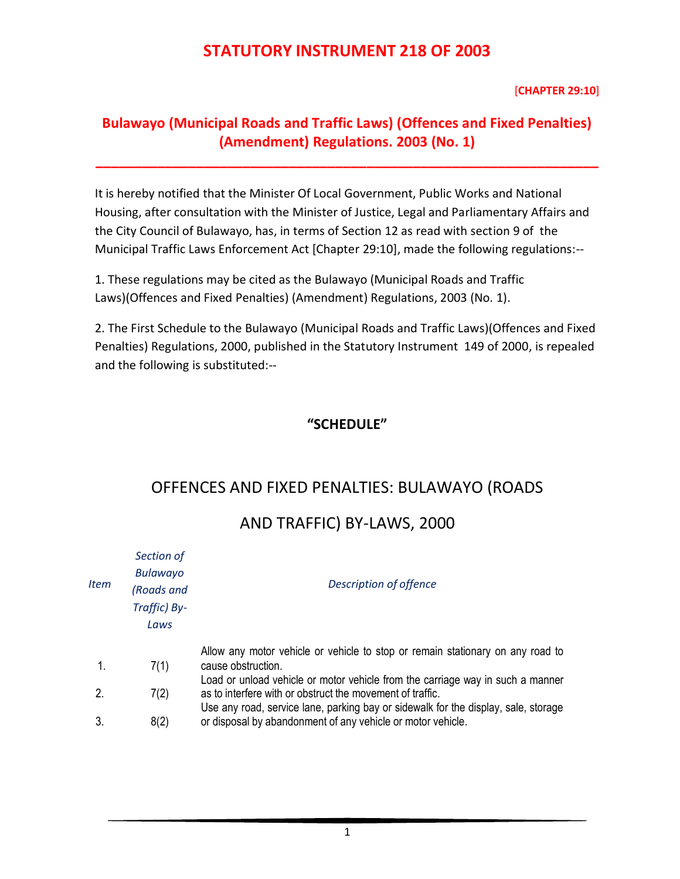[**CHAPTER 29:10**]

#### **Bulawayo (Municipal Roads and Traffic Laws) (Offences and Fixed Penalties) (Amendment) Regulations. 2003 (No. 1)**

**\_\_\_\_\_\_\_\_\_\_\_\_\_\_\_\_\_\_\_\_\_\_\_\_\_\_\_\_\_\_\_\_\_\_\_\_\_\_\_\_\_\_\_\_\_\_\_\_\_\_\_\_\_\_\_\_\_\_\_\_\_\_\_\_\_**

It is hereby notified that the Minister Of Local Government, Public Works and National Housing, after consultation with the Minister of Justice, Legal and Parliamentary Affairs and the City Council of Bulawayo, has, in terms of Section 12 as read with section 9 of the Municipal Traffic Laws Enforcement Act [Chapter 29:10], made the following regulations:--

1. These regulations may be cited as the Bulawayo (Municipal Roads and Traffic Laws)(Offences and Fixed Penalties) (Amendment) Regulations, 2003 (No. 1).

2. The First Schedule to the Bulawayo (Municipal Roads and Traffic Laws)(Offences and Fixed Penalties) Regulations, 2000, published in the Statutory Instrument 149 of 2000, is repealed and the following is substituted:--

#### **"SCHEDULE"**

#### OFFENCES AND FIXED PENALTIES: BULAWAYO (ROADS

## AND TRAFFIC) BY-LAWS, 2000

| Item | Section of<br><b>Bulawayo</b><br>(Roads and<br>Traffic) By-<br>Laws | Description of offence                                                                                                                                                                                                                                                                           |
|------|---------------------------------------------------------------------|--------------------------------------------------------------------------------------------------------------------------------------------------------------------------------------------------------------------------------------------------------------------------------------------------|
|      | 7(1)                                                                | Allow any motor vehicle or vehicle to stop or remain stationary on any road to<br>cause obstruction.                                                                                                                                                                                             |
|      | 7(2)                                                                | Load or unload vehicle or motor vehicle from the carriage way in such a manner<br>as to interfere with or obstruct the movement of traffic.<br>Use any road, service lane, parking bay or sidewalk for the display, sale, storage<br>or disposal by abandonment of any vehicle or motor vehicle. |
| 3.   | 8(2)                                                                |                                                                                                                                                                                                                                                                                                  |
|      |                                                                     |                                                                                                                                                                                                                                                                                                  |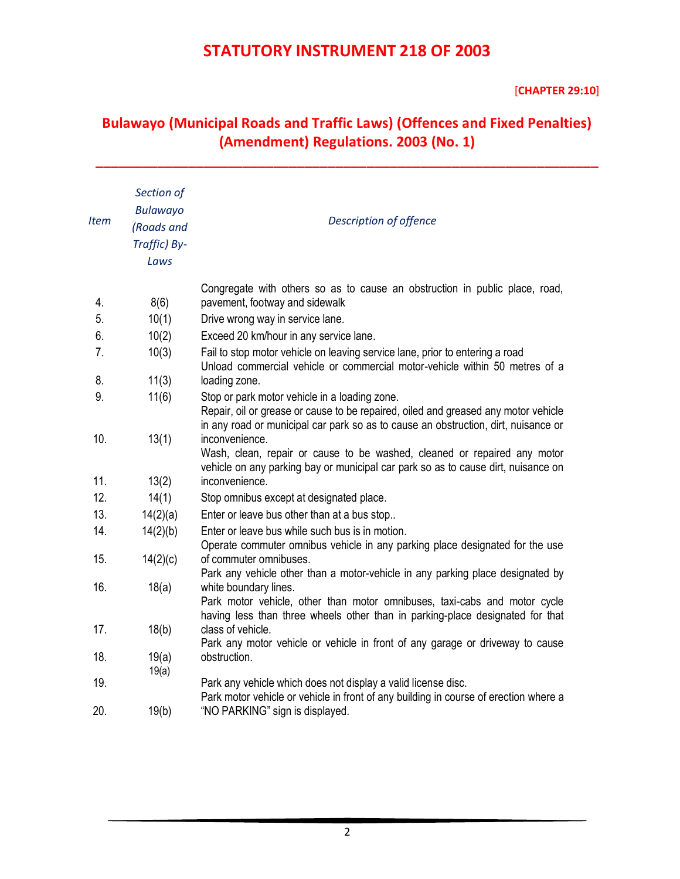#### [**CHAPTER 29:10**]

### **Bulawayo (Municipal Roads and Traffic Laws) (Offences and Fixed Penalties) (Amendment) Regulations. 2003 (No. 1)**

**\_\_\_\_\_\_\_\_\_\_\_\_\_\_\_\_\_\_\_\_\_\_\_\_\_\_\_\_\_\_\_\_\_\_\_\_\_\_\_\_\_\_\_\_\_\_\_\_\_\_\_\_\_\_\_\_\_\_\_\_\_\_\_\_\_**

| Item | Section of<br>Bulawayo<br>(Roads and<br>Traffic) By-<br>Laws | Description of offence                                                                                                                                                                                                    |
|------|--------------------------------------------------------------|---------------------------------------------------------------------------------------------------------------------------------------------------------------------------------------------------------------------------|
|      |                                                              | Congregate with others so as to cause an obstruction in public place, road,                                                                                                                                               |
| 4.   | 8(6)                                                         | pavement, footway and sidewalk                                                                                                                                                                                            |
| 5.   | 10(1)                                                        | Drive wrong way in service lane.                                                                                                                                                                                          |
| 6.   | 10(2)                                                        | Exceed 20 km/hour in any service lane.                                                                                                                                                                                    |
| 7.   | 10(3)                                                        | Fail to stop motor vehicle on leaving service lane, prior to entering a road<br>Unload commercial vehicle or commercial motor-vehicle within 50 metres of a                                                               |
| 8.   | 11(3)                                                        | loading zone.                                                                                                                                                                                                             |
| 9.   | 11(6)                                                        | Stop or park motor vehicle in a loading zone.<br>Repair, oil or grease or cause to be repaired, oiled and greased any motor vehicle<br>in any road or municipal car park so as to cause an obstruction, dirt, nuisance or |
| 10.  | 13(1)                                                        | inconvenience.<br>Wash, clean, repair or cause to be washed, cleaned or repaired any motor<br>vehicle on any parking bay or municipal car park so as to cause dirt, nuisance on                                           |
| 11.  | 13(2)                                                        | inconvenience.                                                                                                                                                                                                            |
| 12.  | 14(1)                                                        | Stop omnibus except at designated place.                                                                                                                                                                                  |
| 13.  | 14(2)(a)                                                     | Enter or leave bus other than at a bus stop                                                                                                                                                                               |
| 14.  | 14(2)(b)                                                     | Enter or leave bus while such bus is in motion.<br>Operate commuter omnibus vehicle in any parking place designated for the use                                                                                           |
| 15.  | 14(2)(c)                                                     | of commuter omnibuses.<br>Park any vehicle other than a motor-vehicle in any parking place designated by                                                                                                                  |
| 16.  | 18(a)                                                        | white boundary lines.<br>Park motor vehicle, other than motor omnibuses, taxi-cabs and motor cycle<br>having less than three wheels other than in parking-place designated for that                                       |
| 17.  | 18(b)                                                        | class of vehicle.<br>Park any motor vehicle or vehicle in front of any garage or driveway to cause                                                                                                                        |
| 18.  | 19(a)<br>19(a)                                               | obstruction.                                                                                                                                                                                                              |
| 19.  |                                                              | Park any vehicle which does not display a valid license disc.<br>Park motor vehicle or vehicle in front of any building in course of erection where a                                                                     |
| 20.  | 19(b)                                                        | "NO PARKING" sign is displayed.                                                                                                                                                                                           |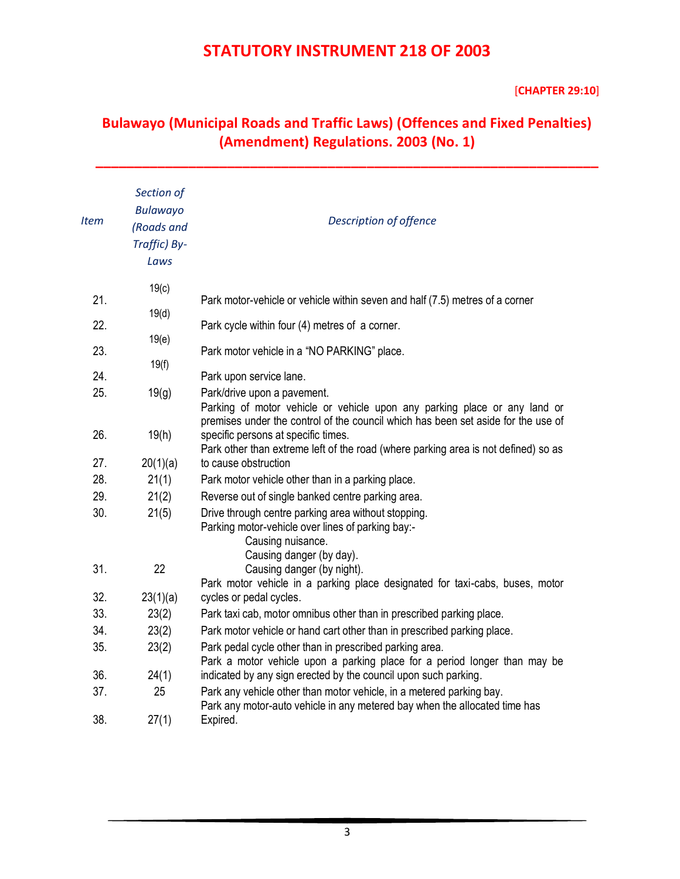#### [**CHAPTER 29:10**]

### **Bulawayo (Municipal Roads and Traffic Laws) (Offences and Fixed Penalties) (Amendment) Regulations. 2003 (No. 1)**

**\_\_\_\_\_\_\_\_\_\_\_\_\_\_\_\_\_\_\_\_\_\_\_\_\_\_\_\_\_\_\_\_\_\_\_\_\_\_\_\_\_\_\_\_\_\_\_\_\_\_\_\_\_\_\_\_\_\_\_\_\_\_\_\_\_**

| <b>Item</b> | Section of<br><b>Bulawayo</b><br>(Roads and<br>Traffic) By-<br>Laws | Description of offence                                                                                                                                                                        |
|-------------|---------------------------------------------------------------------|-----------------------------------------------------------------------------------------------------------------------------------------------------------------------------------------------|
| 21.         | 19(c)                                                               | Park motor-vehicle or vehicle within seven and half (7.5) metres of a corner                                                                                                                  |
| 22.         | 19(d)                                                               | Park cycle within four (4) metres of a corner.                                                                                                                                                |
|             | 19(e)                                                               |                                                                                                                                                                                               |
| 23.         | 19(f)                                                               | Park motor vehicle in a "NO PARKING" place.                                                                                                                                                   |
| 24.         |                                                                     | Park upon service lane.                                                                                                                                                                       |
| 25.         | 19(g)                                                               | Park/drive upon a pavement.<br>Parking of motor vehicle or vehicle upon any parking place or any land or<br>premises under the control of the council which has been set aside for the use of |
| 26.         | 19(h)                                                               | specific persons at specific times.<br>Park other than extreme left of the road (where parking area is not defined) so as                                                                     |
| 27.         | 20(1)(a)                                                            | to cause obstruction                                                                                                                                                                          |
| 28.         | 21(1)                                                               | Park motor vehicle other than in a parking place.                                                                                                                                             |
| 29.         | 21(2)                                                               | Reverse out of single banked centre parking area.                                                                                                                                             |
| 30.         | 21(5)                                                               | Drive through centre parking area without stopping.<br>Parking motor-vehicle over lines of parking bay:-<br>Causing nuisance.<br>Causing danger (by day).                                     |
| 31.         | 22                                                                  | Causing danger (by night).<br>Park motor vehicle in a parking place designated for taxi-cabs, buses, motor                                                                                    |
| 32.         | 23(1)(a)                                                            | cycles or pedal cycles.                                                                                                                                                                       |
| 33.         | 23(2)                                                               | Park taxi cab, motor omnibus other than in prescribed parking place.                                                                                                                          |
| 34.         | 23(2)                                                               | Park motor vehicle or hand cart other than in prescribed parking place.                                                                                                                       |
| 35.         | 23(2)                                                               | Park pedal cycle other than in prescribed parking area.<br>Park a motor vehicle upon a parking place for a period longer than may be                                                          |
| 36.         | 24(1)                                                               | indicated by any sign erected by the council upon such parking.                                                                                                                               |
| 37.         | 25                                                                  | Park any vehicle other than motor vehicle, in a metered parking bay.<br>Park any motor-auto vehicle in any metered bay when the allocated time has                                            |
| 38.         | 27(1)                                                               | Expired.                                                                                                                                                                                      |